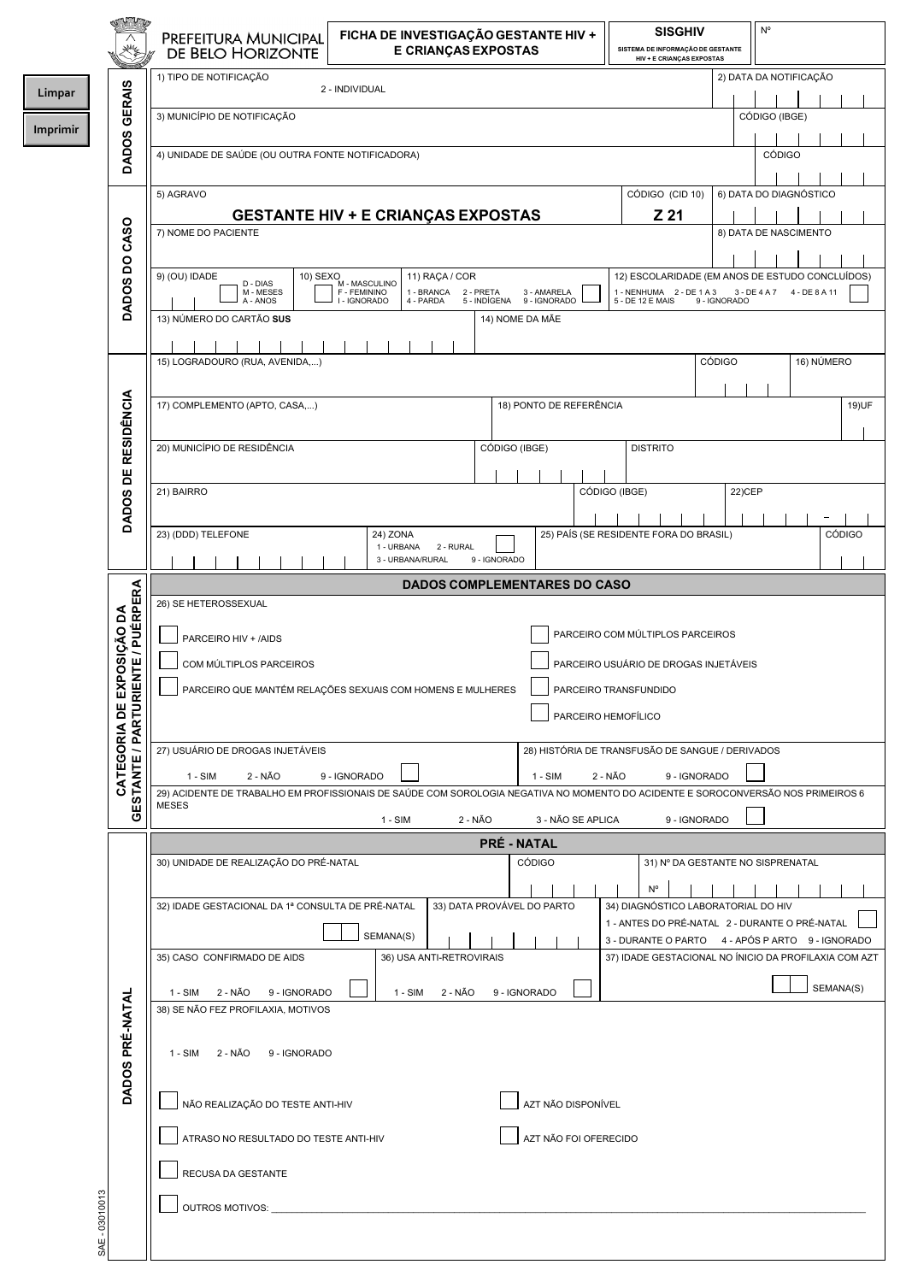|                |                           | PREFEITURA MUNICIPAL<br>DE BELO HORIZONTE                                                                                                                | FICHA DE INVESTIGAÇÃO GESTANTE HIV +<br><b>E CRIANÇAS EXPOSTAS</b>                                                      |                                                | <b>SISGHIV</b>                                                                                    | N°<br>SISTEMA DE INFORMAÇÃO DE GESTANTE<br><b>HIV + E CRIANÇAS EXPOSTAS</b> |            |  |  |
|----------------|---------------------------|----------------------------------------------------------------------------------------------------------------------------------------------------------|-------------------------------------------------------------------------------------------------------------------------|------------------------------------------------|---------------------------------------------------------------------------------------------------|-----------------------------------------------------------------------------|------------|--|--|
| Limpar         |                           | 1) TIPO DE NOTIFICAÇÃO                                                                                                                                   | 2 - INDIVIDUAL                                                                                                          |                                                |                                                                                                   | 2) DATA DA NOTIFICAÇÃO                                                      |            |  |  |
| Imprimir       | <b>GERAIS</b>             | 3) MUNICÍPIO DE NOTIFICAÇÃO                                                                                                                              |                                                                                                                         |                                                |                                                                                                   | CÓDIGO (IBGE)                                                               |            |  |  |
|                | <b>DADOS</b>              | 4) UNIDADE DE SAÚDE (OU OUTRA FONTE NOTIFICADORA)                                                                                                        |                                                                                                                         |                                                |                                                                                                   | <b>CÓDIGO</b>                                                               |            |  |  |
|                |                           | 5) AGRAVO                                                                                                                                                | <b>GESTANTE HIV + E CRIANÇAS EXPOSTAS</b>                                                                               |                                                | CÓDIGO (CID 10)<br>Z 21                                                                           | 6) DATA DO DIAGNÓSTICO                                                      |            |  |  |
|                |                           | 7) NOME DO PACIENTE                                                                                                                                      |                                                                                                                         |                                                |                                                                                                   | 8) DATA DE NASCIMENTO                                                       |            |  |  |
|                | DADOS DO CASO             | 9) (OU) IDADE<br>10) SEXO<br>D - DIAS<br>M - MESES<br>A - ANOS<br>13) NÚMERO DO CARTÃO SUS                                                               | 11) RAÇA / COR<br>M - MASCULINO<br>F - FEMININO<br>1 - BRANCA<br>2 - PRETA<br>I - IGNORADO<br>4 - PARDA<br>5 - INDÍGENA | 3 - AMARELA<br>9 - IGNORADO<br>14) NOME DA MÃE | 12) ESCOLARIDADE (EM ANOS DE ESTUDO CONCLUÍDOS)<br>1 - NENHUMA 2 - DE 1 A 3<br>5 - DE 12 E MAIS   | 3 - DE 4 A 7 4 - DE 8 A 11<br>9 - IGNORADO                                  |            |  |  |
|                |                           | 15) LOGRADOURO (RUA, AVENIDA,)                                                                                                                           |                                                                                                                         |                                                |                                                                                                   | <b>CÓDIGO</b>                                                               | 16) NÚMERO |  |  |
|                |                           | 17) COMPLEMENTO (APTO, CASA,)                                                                                                                            |                                                                                                                         | 18) PONTO DE REFERÊNCIA                        |                                                                                                   |                                                                             | 19) UF     |  |  |
|                | <b>RESIDÊNCIA</b>         | 20) MUNICÍPIO DE RESIDÊNCIA                                                                                                                              |                                                                                                                         | CÓDIGO (IBGE)                                  | <b>DISTRITO</b>                                                                                   |                                                                             |            |  |  |
|                | DADOS DE                  | 21) BAIRRO                                                                                                                                               |                                                                                                                         |                                                | CÓDIGO (IBGE)                                                                                     | 22) CEP                                                                     |            |  |  |
|                |                           | 23) (DDD) TELEFONE                                                                                                                                       | 24) ZONA<br>1 - URBANA<br>2 - RURAL                                                                                     |                                                | 25) PAÍS (SE RESIDENTE FORA DO BRASIL)                                                            |                                                                             | CÓDIGO     |  |  |
|                |                           |                                                                                                                                                          | 3 - URBANA/RURAL                                                                                                        | 9 - IGNORADO                                   |                                                                                                   |                                                                             |            |  |  |
|                |                           | 26) SE HETEROSSEXUAL                                                                                                                                     |                                                                                                                         | <b>DADOS COMPLEMENTARES DO CASO</b>            |                                                                                                   |                                                                             |            |  |  |
|                |                           |                                                                                                                                                          |                                                                                                                         |                                                |                                                                                                   |                                                                             |            |  |  |
|                |                           | PARCEIRO HIV + /AIDS                                                                                                                                     |                                                                                                                         |                                                | PARCEIRO COM MÚLTIPLOS PARCEIROS                                                                  |                                                                             |            |  |  |
|                | ENTE / PUÉRPERA           | PARCEIRO USUÁRIO DE DROGAS INJETÁVEIS<br>COM MÚLTIPLOS PARCEIROS                                                                                         |                                                                                                                         |                                                |                                                                                                   |                                                                             |            |  |  |
|                | CATEGORIA DE EXPOSIÇÃO DA |                                                                                                                                                          | PARCEIRO QUE MANTÉM RELAÇÕES SEXUAIS COM HOMENS E MULHERES                                                              |                                                | PARCEIRO TRANSFUNDIDO<br>PARCEIRO HEMOFÍLICO                                                      |                                                                             |            |  |  |
|                | GESTANTE / PARTUR         | 27) USUÁRIO DE DROGAS INJETÁVEIS                                                                                                                         |                                                                                                                         |                                                | 28) HISTÓRIA DE TRANSFUSÃO DE SANGUE / DERIVADOS                                                  |                                                                             |            |  |  |
|                |                           | $1 - SIM$<br>2 - NÃO<br>29) ACIDENTE DE TRABALHO EM PROFISSIONAIS DE SAÚDE COM SOROLOGIA NEGATIVA NO MOMENTO DO ACIDENTE E SOROCONVERSÃO NOS PRIMEIROS 6 | 9 - IGNORADO                                                                                                            | $1 - SIM$                                      | 2 - NÃO<br>9 - IGNORADO                                                                           |                                                                             |            |  |  |
|                |                           | <b>MESES</b><br>2 - NÃO<br>3 - NÃO SE APLICA<br>9 - IGNORADO<br>$1 - SIM$                                                                                |                                                                                                                         |                                                |                                                                                                   |                                                                             |            |  |  |
|                |                           |                                                                                                                                                          |                                                                                                                         | <b>PRÉ - NATAL</b>                             |                                                                                                   |                                                                             |            |  |  |
|                |                           | 30) UNIDADE DE REALIZAÇÃO DO PRÉ-NATAL                                                                                                                   |                                                                                                                         | <b>CÓDIGO</b>                                  |                                                                                                   | 31) Nº DA GESTANTE NO SISPRENATAL                                           |            |  |  |
|                |                           | 32) IDADE GESTACIONAL DA 1ª CONSULTA DE PRÉ-NATAL                                                                                                        |                                                                                                                         | 33) DATA PROVÁVEL DO PARTO                     | $N^{\circ}$<br>34) DIAGNÓSTICO LABORATORIAL DO HIV                                                |                                                                             |            |  |  |
|                |                           |                                                                                                                                                          | SEMANA(S)                                                                                                               |                                                | 1 - ANTES DO PRÉ-NATAL 2 - DURANTE O PRÉ-NATAL<br>3 - DURANTE O PARTO 4 - APÓS PARTO 9 - IGNORADO |                                                                             |            |  |  |
|                |                           | 35) CASO CONFIRMADO DE AIDS                                                                                                                              | 36) USA ANTI-RETROVIRAIS                                                                                                |                                                | 37) IDADE GESTACIONAL NO ÍNICIO DA PROFILAXIA COM AZT                                             |                                                                             |            |  |  |
|                |                           | 2 - NÃO<br>9 - IGNORADO<br>1 - SIM<br>38) SE NÃO FEZ PROFILAXIA, MOTIVOS                                                                                 | 2 - NÃO<br>$1 - SIM$                                                                                                    | 9 - IGNORADO                                   |                                                                                                   |                                                                             | SEMANA(S)  |  |  |
|                | DADOS PRÉ-NATAL           | 1 - SIM 2 - NÃO 9 - IGNORADO                                                                                                                             |                                                                                                                         |                                                |                                                                                                   |                                                                             |            |  |  |
|                |                           | NÃO REALIZAÇÃO DO TESTE ANTI-HIV<br>AZT NÃO DISPONÍVEL                                                                                                   |                                                                                                                         |                                                |                                                                                                   |                                                                             |            |  |  |
|                |                           | ATRASO NO RESULTADO DO TESTE ANTI-HIV<br>AZT NÃO FOI OFERECIDO                                                                                           |                                                                                                                         |                                                |                                                                                                   |                                                                             |            |  |  |
|                |                           | RECUSA DA GESTANTE                                                                                                                                       |                                                                                                                         |                                                |                                                                                                   |                                                                             |            |  |  |
| SAE - 03010013 |                           | OUTROS MOTIVOS:                                                                                                                                          |                                                                                                                         |                                                |                                                                                                   |                                                                             |            |  |  |
|                |                           |                                                                                                                                                          |                                                                                                                         |                                                |                                                                                                   |                                                                             |            |  |  |